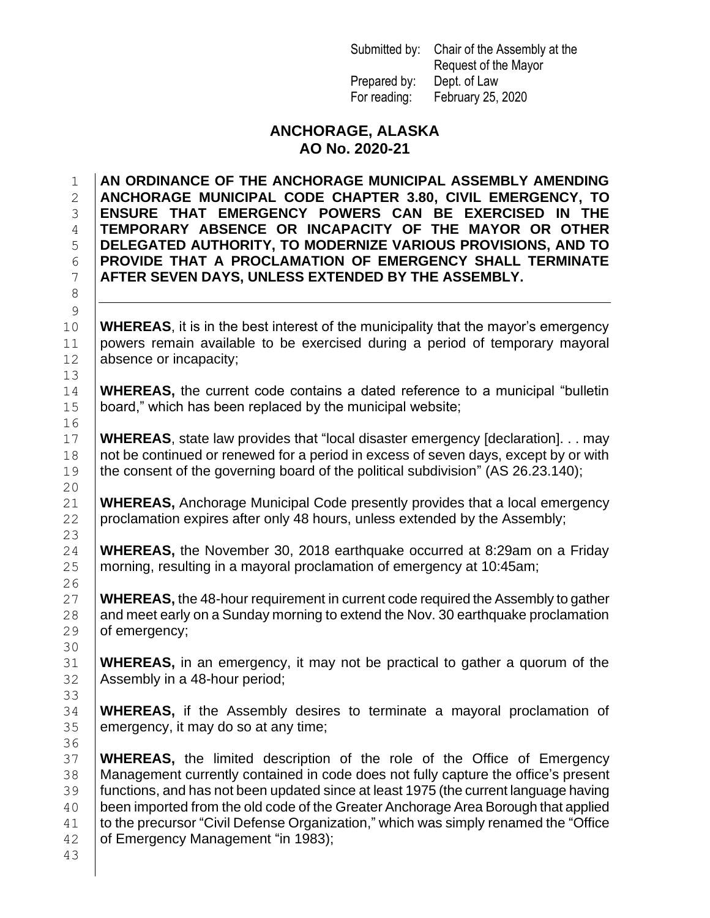Submitted by: Chair of the Assembly at the Request of the Mayor Prepared by: Dept. of Law For reading: February 25, 2020

#### **ANCHORAGE, ALASKA AO No. 2020-21**

 **AN ORDINANCE OF THE ANCHORAGE MUNICIPAL ASSEMBLY AMENDING ANCHORAGE MUNICIPAL CODE CHAPTER 3.80, CIVIL EMERGENCY, TO ENSURE THAT EMERGENCY POWERS CAN BE EXERCISED IN THE TEMPORARY ABSENCE OR INCAPACITY OF THE MAYOR OR OTHER DELEGATED AUTHORITY, TO MODERNIZE VARIOUS PROVISIONS, AND TO PROVIDE THAT A PROCLAMATION OF EMERGENCY SHALL TERMINATE AFTER SEVEN DAYS, UNLESS EXTENDED BY THE ASSEMBLY.**

 **WHEREAS**, it is in the best interest of the municipality that the mayor's emergency powers remain available to be exercised during a period of temporary mayoral 12 absence or incapacity;

 **WHEREAS,** the current code contains a dated reference to a municipal "bulletin board," which has been replaced by the municipal website;

 **WHEREAS**, state law provides that "local disaster emergency [declaration]. . . may 18 | not be continued or renewed for a period in excess of seven days, except by or with the consent of the governing board of the political subdivision" (AS 26.23.140);

 **WHEREAS,** Anchorage Municipal Code presently provides that a local emergency 22 | proclamation expires after only 48 hours, unless extended by the Assembly;

 **WHEREAS,** the November 30, 2018 earthquake occurred at 8:29am on a Friday morning, resulting in a mayoral proclamation of emergency at 10:45am;

 **WHEREAS,** the 48-hour requirement in current code required the Assembly to gather 28  $\parallel$  and meet early on a Sunday morning to extend the Nov. 30 earthquake proclamation 29 of emergency;

 **WHEREAS,** in an emergency, it may not be practical to gather a quorum of the Assembly in a 48-hour period;

 **WHEREAS,** if the Assembly desires to terminate a mayoral proclamation of 35 emergency, it may do so at any time;

 **WHEREAS,** the limited description of the role of the Office of Emergency Management currently contained in code does not fully capture the office's present functions, and has not been updated since at least 1975 (the current language having been imported from the old code of the Greater Anchorage Area Borough that applied 41 to the precursor "Civil Defense Organization," which was simply renamed the "Office" **of Emergency Management "in 1983);**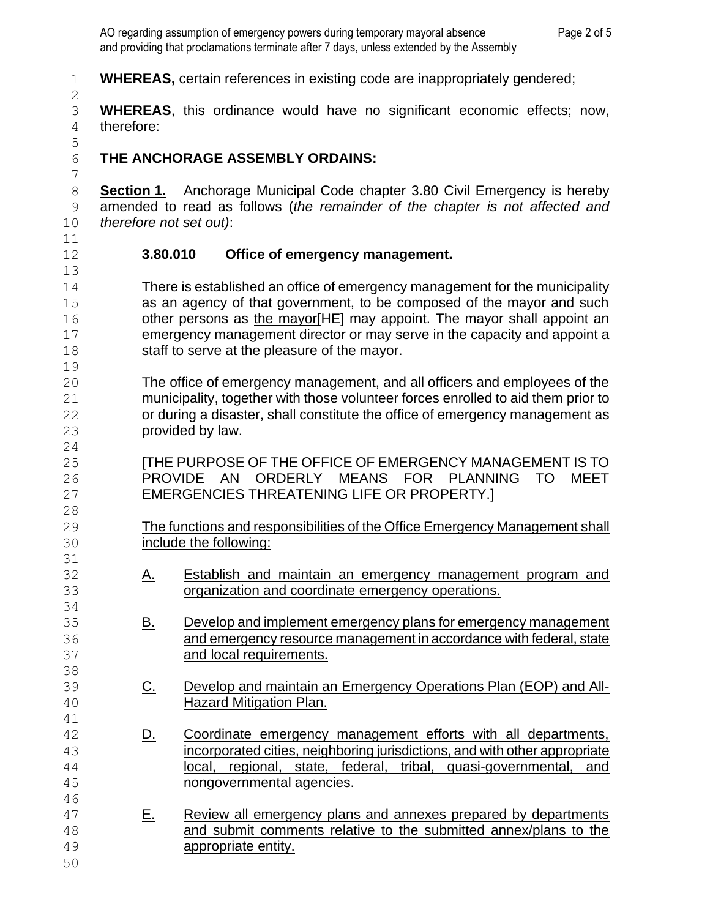**WHEREAS,** certain references in existing code are inappropriately gendered;

 **WHEREAS**, this ordinance would have no significant economic effects; now, therefore:

# **THE ANCHORAGE ASSEMBLY ORDAINS:**

 **Section 1.** Anchorage Municipal Code chapter 3.80 Civil Emergency is hereby amended to read as follows (*the remainder of the chapter is not affected and therefore not set out)*:

# **3.80.010 Office of emergency management.**

14 There is established an office of emergency management for the municipality **as an agency of that government, to be composed of the mayor and such**   $\vert$  other persons as the mayor[HE] may appoint. The mayor shall appoint an **Example 2** emergency management director or may serve in the capacity and appoint a **Staff to serve at the pleasure of the mayor.** 

 The office of emergency management, and all officers and employees of the **municipality, together with those volunteer forces enrolled to aid them prior to Fig. 22** or during a disaster, shall constitute the office of emergency management as **provided by law.** 

 [THE PURPOSE OF THE OFFICE OF EMERGENCY MANAGEMENT IS TO 26 | PROVIDE AN ORDERLY MEANS FOR PLANNING TO MEET 27 | EMERGENCIES THREATENING LIFE OR PROPERTY.

29 The functions and responsibilities of the Office Emergency Management shall include the following:

- 32 | A. Establish and maintain an emergency management program and **J** organization and coordinate emergency operations.
- 35 | <u>B. Develop and implement emergency plans for emergency management</u> **Fig. 20.33** and emergency resource management in accordance with federal, state **and local requirements.**
- 39 C. Develop and maintain an Emergency Operations Plan (EOP) and All-Hazard Mitigation Plan.
- **D.** Coordinate emergency management efforts with all departments, incorporated cities, neighboring jurisdictions, and with other appropriate local, regional, state, federal, tribal, quasi-governmental, and nongovernmental agencies.
- 47 | E. Review all emergency plans and annexes prepared by departments 48 and submit comments relative to the submitted annex/plans to the appropriate entity.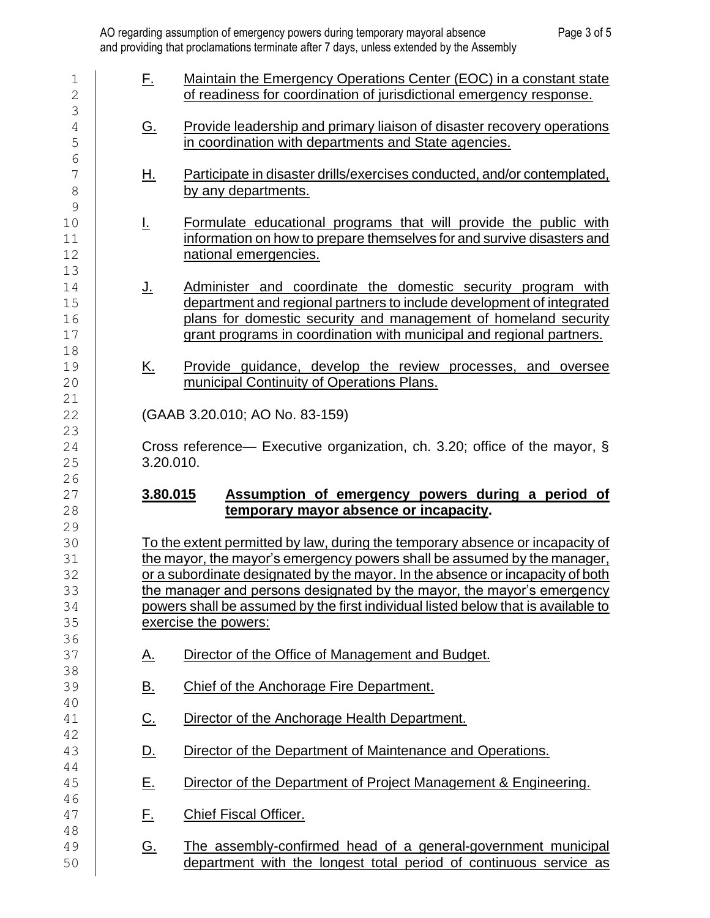| $\mathbf 1$<br>$\mathbf 2$<br>3        | <u>E.</u> | Maintain the Emergency Operations Center (EOC) in a constant state<br>of readiness for coordination of jurisdictional emergency response.                                                                                                                                                                                                                                                                                          |  |
|----------------------------------------|-----------|------------------------------------------------------------------------------------------------------------------------------------------------------------------------------------------------------------------------------------------------------------------------------------------------------------------------------------------------------------------------------------------------------------------------------------|--|
| $\overline{4}$<br>5                    | <u>G.</u> | <b>Provide leadership and primary liaison of disaster recovery operations</b><br>in coordination with departments and State agencies.                                                                                                                                                                                                                                                                                              |  |
| 6<br>7<br>$\,8\,$                      | 旦.        | Participate in disaster drills/exercises conducted, and/or contemplated,<br>by any departments.                                                                                                                                                                                                                                                                                                                                    |  |
| $\mathcal{G}$<br>10<br>11<br>12        | F         | Formulate educational programs that will provide the public with<br>information on how to prepare themselves for and survive disasters and<br>national emergencies.                                                                                                                                                                                                                                                                |  |
| 13<br>14<br>15<br>16<br>17             | <u>J.</u> | Administer and coordinate the domestic security program with<br>department and regional partners to include development of integrated<br>plans for domestic security and management of homeland security<br>grant programs in coordination with municipal and regional partners.                                                                                                                                                   |  |
| 18<br>19<br>20                         | <u>K.</u> | Provide guidance, develop the review processes, and oversee<br>municipal Continuity of Operations Plans.                                                                                                                                                                                                                                                                                                                           |  |
| 21<br>22                               |           | (GAAB 3.20.010; AO No. 83-159)                                                                                                                                                                                                                                                                                                                                                                                                     |  |
| 23<br>24<br>25                         |           | Cross reference— Executive organization, ch. 3.20; office of the mayor, $\S$<br>3.20.010.                                                                                                                                                                                                                                                                                                                                          |  |
| 26<br>27<br>28                         | 3.80.015  | Assumption of emergency powers during a period of<br>temporary mayor absence or incapacity.                                                                                                                                                                                                                                                                                                                                        |  |
| 29<br>30<br>31<br>32<br>33<br>34<br>35 |           | To the extent permitted by law, during the temporary absence or incapacity of<br>the mayor, the mayor's emergency powers shall be assumed by the manager,<br>or a subordinate designated by the mayor. In the absence or incapacity of both<br>the manager and persons designated by the mayor, the mayor's emergency<br>powers shall be assumed by the first individual listed below that is available to<br>exercise the powers: |  |
| 36<br>37                               | <u>A.</u> | Director of the Office of Management and Budget.                                                                                                                                                                                                                                                                                                                                                                                   |  |
| 38<br>39                               | <u>B.</u> | Chief of the Anchorage Fire Department.                                                                                                                                                                                                                                                                                                                                                                                            |  |
| 40<br>41<br>42                         | <u>C.</u> | Director of the Anchorage Health Department.                                                                                                                                                                                                                                                                                                                                                                                       |  |
| 43<br>44                               | <u>D.</u> | Director of the Department of Maintenance and Operations.                                                                                                                                                                                                                                                                                                                                                                          |  |
| 45                                     | <u>E.</u> | Director of the Department of Project Management & Engineering.                                                                                                                                                                                                                                                                                                                                                                    |  |
| 46<br>47                               | <u>E.</u> | <b>Chief Fiscal Officer.</b>                                                                                                                                                                                                                                                                                                                                                                                                       |  |
| 48<br>49<br>50                         | <u>G.</u> | The assembly-confirmed head of a general-government municipal<br>department with the longest total period of continuous service as                                                                                                                                                                                                                                                                                                 |  |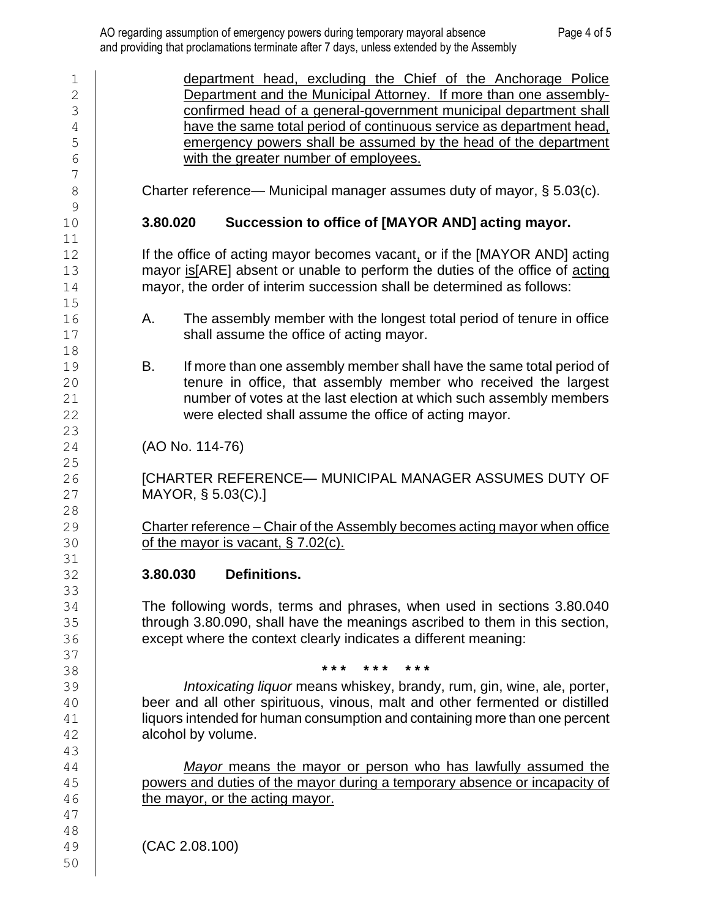1 | department head, excluding the Chief of the Anchorage Police **Department and the Municipal Attorney.** If more than one assembly- confirmed head of a general-government municipal department shall 4 | have the same total period of continuous service as department head, **Example 2** emergency powers shall be assumed by the head of the department with the greater number of employees. 8 Charter reference— Municipal manager assumes duty of mayor, § 5.03(c). **3.80.020 Succession to office of [MAYOR AND] acting mayor. If the office of acting mayor becomes vacant, or if the [MAYOR AND] acting** 13 mayor is [ARE] absent or unable to perform the duties of the office of acting **mayor, the order of interim succession shall be determined as follows:**  16 A. The assembly member with the longest total period of tenure in office **Shall assume the office of acting mayor.**  19 B. If more than one assembly member shall have the same total period of **tenure in office, that assembly member who received the largest number of votes at the last election at which such assembly members**  were elected shall assume the office of acting mayor. (AO No. 114-76) 26 | **ICHARTER REFERENCE— MUNICIPAL MANAGER ASSUMES DUTY OF**  MAYOR, § 5.03(C).] Charter reference – Chair of the Assembly becomes acting mayor when office of the mayor is vacant, § 7.02(c). **3.80.030 Definitions.**  The following words, terms and phrases, when used in sections 3.80.040 **through 3.80.090, shall have the meanings ascribed to them in this section, except where the context clearly indicates a different meaning: \* \* \* \* \* \* \* \* \*** *Intoxicating liquor* means whiskey, brandy, rum, gin, wine, ale, porter, beer and all other spirituous, vinous, malt and other fermented or distilled 41 | liquors intended for human consumption and containing more than one percent alcohol by volume. *Mayor* means the mayor or person who has lawfully assumed the **powers and duties of the mayor during a temporary absence or incapacity of the mayor, or the acting mayor.**  (CAC 2.08.100)